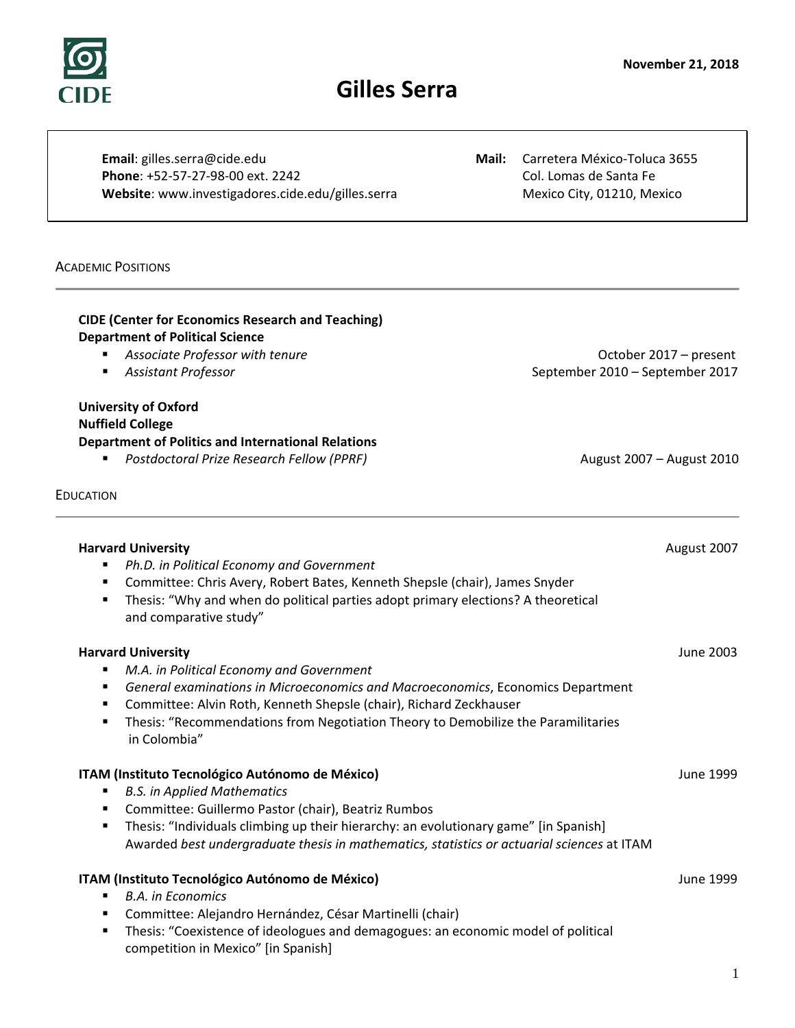# **November 21, 2018**

# **Gilles Serra**

**Email**: gilles.serra@cide.edu **Mail:** Carretera México-Toluca 3655 **Phone**: +52-57-27-98-00 ext. 2242 Col. Lomas de Santa Fe Website: www.investigadores.cide.edu/gilles.serra Mexico City, 01210, Mexico City, 01210, Mexico

# ACADEMIC POSITIONS

EDUCATION

# **CIDE (Center for Economics Research and Teaching) Department of Political Science**

- **Associate Professor with tenure** and the contract of the contract of the Coronal Associate Professor with tenure
- *Assistant Professor* September 2010 September 2017

# **University of Oxford Nuffield College Department of Politics and International Relations**

**Postdoctoral Prize Research Fellow (PPRF)** August 2007 – August 2010

| <b>Harvard University</b>                                                                                                                                       | August 2007 |
|-----------------------------------------------------------------------------------------------------------------------------------------------------------------|-------------|
| Ph.D. in Political Economy and Government<br>٠                                                                                                                  |             |
| Committee: Chris Avery, Robert Bates, Kenneth Shepsle (chair), James Snyder<br>٠                                                                                |             |
| Thesis: "Why and when do political parties adopt primary elections? A theoretical<br>٠                                                                          |             |
| and comparative study"                                                                                                                                          |             |
| <b>Harvard University</b>                                                                                                                                       | June 2003   |
| M.A. in Political Economy and Government<br>٠                                                                                                                   |             |
| General examinations in Microeconomics and Macroeconomics, Economics Department<br>٠<br>Committee: Alvin Roth, Kenneth Shepsle (chair), Richard Zeckhauser<br>٠ |             |
| Thesis: "Recommendations from Negotiation Theory to Demobilize the Paramilitaries<br>٠                                                                          |             |
| in Colombia"                                                                                                                                                    |             |
|                                                                                                                                                                 |             |
| ITAM (Instituto Tecnológico Autónomo de México)                                                                                                                 | June 1999   |
| <b>B.S. in Applied Mathematics</b><br>٠                                                                                                                         |             |
| Committee: Guillermo Pastor (chair), Beatriz Rumbos<br>٠                                                                                                        |             |
| Thesis: "Individuals climbing up their hierarchy: an evolutionary game" [in Spanish]<br>٠                                                                       |             |
| Awarded best undergraduate thesis in mathematics, statistics or actuarial sciences at ITAM                                                                      |             |
| ITAM (Instituto Tecnológico Autónomo de México)                                                                                                                 | June 1999   |
| <b>B.A.</b> in Economics<br>٠                                                                                                                                   |             |
| Committee: Alejandro Hernández, César Martinelli (chair)<br>٠                                                                                                   |             |
| Thesis: "Coexistence of ideologues and demagogues: an economic model of political<br>٠                                                                          |             |
| competition in Mexico" [in Spanish]                                                                                                                             |             |
|                                                                                                                                                                 | 1           |
|                                                                                                                                                                 |             |

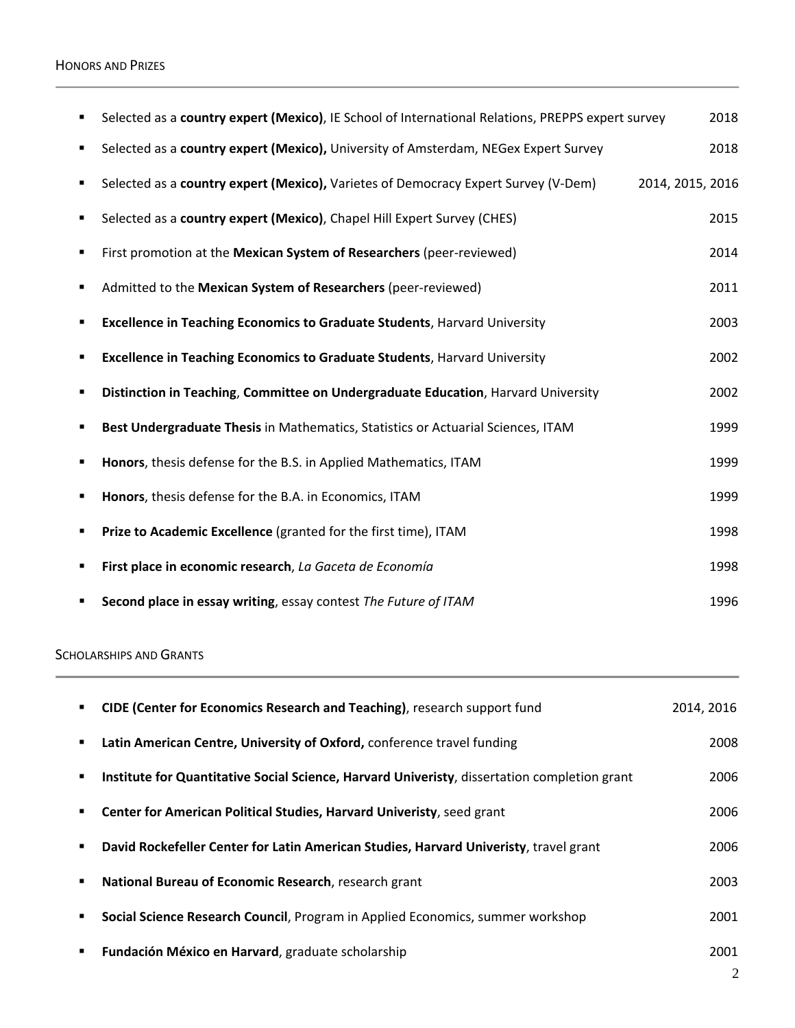# HONORS AND PRIZES

| ٠ | Selected as a country expert (Mexico), IE School of International Relations, PREPPS expert survey | 2018             |
|---|---------------------------------------------------------------------------------------------------|------------------|
| ٠ | Selected as a country expert (Mexico), University of Amsterdam, NEGex Expert Survey               | 2018             |
| ٠ | Selected as a country expert (Mexico), Varietes of Democracy Expert Survey (V-Dem)                | 2014, 2015, 2016 |
| ٠ | Selected as a country expert (Mexico), Chapel Hill Expert Survey (CHES)                           | 2015             |
| ٠ | First promotion at the Mexican System of Researchers (peer-reviewed)                              | 2014             |
| ٠ | Admitted to the Mexican System of Researchers (peer-reviewed)                                     | 2011             |
| ٠ | <b>Excellence in Teaching Economics to Graduate Students, Harvard University</b>                  | 2003             |
| ٠ | <b>Excellence in Teaching Economics to Graduate Students, Harvard University</b>                  | 2002             |
| ٠ | Distinction in Teaching, Committee on Undergraduate Education, Harvard University                 | 2002             |
|   | Best Undergraduate Thesis in Mathematics, Statistics or Actuarial Sciences, ITAM                  | 1999             |
| ٠ | Honors, thesis defense for the B.S. in Applied Mathematics, ITAM                                  | 1999             |
| ٠ | Honors, thesis defense for the B.A. in Economics, ITAM                                            | 1999             |
| ٠ | Prize to Academic Excellence (granted for the first time), ITAM                                   | 1998             |
| ٠ | First place in economic research, La Gaceta de Economía                                           | 1998             |
|   | Second place in essay writing, essay contest The Future of ITAM                                   | 1996             |

# SCHOLARSHIPS AND GRANTS

×

| ٠              | CIDE (Center for Economics Research and Teaching), research support fund                     | 2014, 2016 |
|----------------|----------------------------------------------------------------------------------------------|------------|
| $\blacksquare$ | Latin American Centre, University of Oxford, conference travel funding                       | 2008       |
| ٠              | Institute for Quantitative Social Science, Harvard Univeristy, dissertation completion grant | 2006       |
| ٠              | Center for American Political Studies, Harvard Univeristy, seed grant                        | 2006       |
| ٠              | David Rockefeller Center for Latin American Studies, Harvard Univeristy, travel grant        | 2006       |
| ٠              | National Bureau of Economic Research, research grant                                         | 2003       |
| ٠              | Social Science Research Council, Program in Applied Economics, summer workshop               | 2001       |
| ٠              | Fundación México en Harvard, graduate scholarship                                            | 2001       |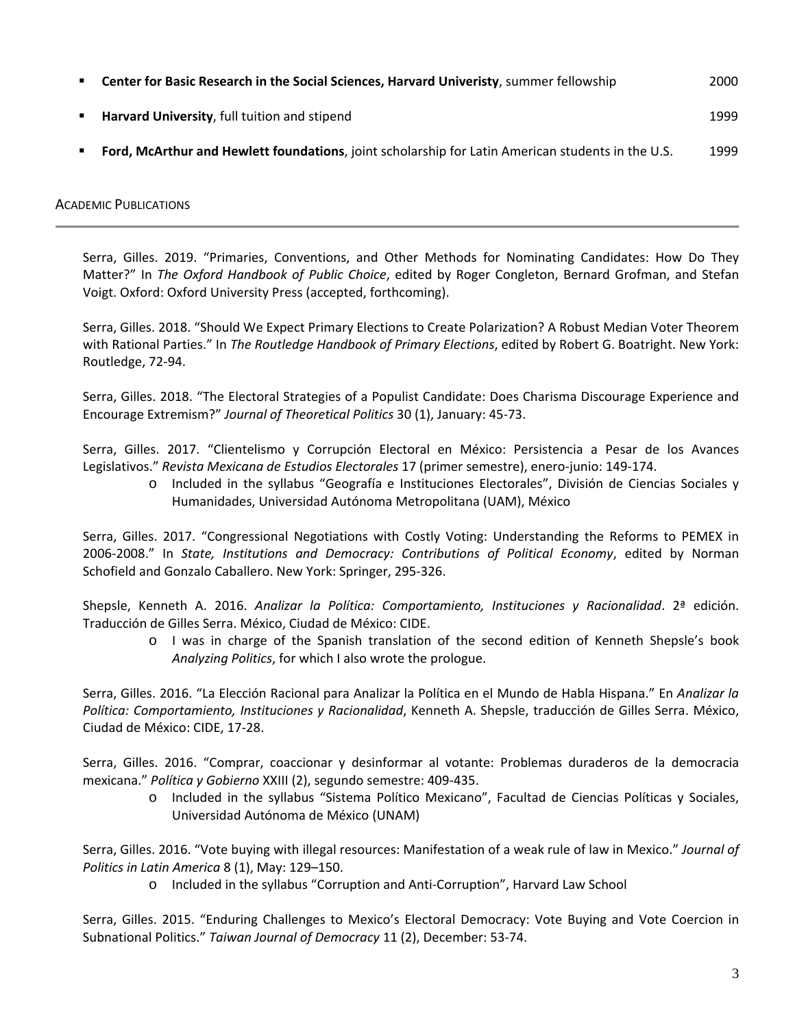| Center for Basic Research in the Social Sciences, Harvard Univeristy, summer fellowship           | 2000 |
|---------------------------------------------------------------------------------------------------|------|
| Harvard University, full tuition and stipend                                                      | 1999 |
| Ford, McArthur and Hewlett foundations, joint scholarship for Latin American students in the U.S. | 1999 |

# ACADEMIC PUBLICATIONS

Serra, Gilles. 2019. "Primaries, Conventions, and Other Methods for Nominating Candidates: How Do They Matter?" In *The Oxford Handbook of Public Choice*, edited by Roger Congleton, Bernard Grofman, and Stefan Voigt. Oxford: Oxford University Press (accepted, forthcoming).

Serra, Gilles. 2018. "Should We Expect Primary Elections to Create Polarization? A Robust Median Voter Theorem with Rational Parties." In *The Routledge Handbook of Primary Elections*, edited by Robert G. Boatright. New York: Routledge, 72-94.

Serra, Gilles. 2018. "The Electoral Strategies of a Populist Candidate: Does Charisma Discourage Experience and Encourage Extremism?" *Journal of Theoretical Politics* 30 (1), January: 45-73.

Serra, Gilles. 2017. "Clientelismo y Corrupción Electoral en México: Persistencia a Pesar de los Avances Legislativos." *Revista Mexicana de Estudios Electorales* 17 (primer semestre), enero-junio: 149-174.

o Included in the syllabus "Geografía e Instituciones Electorales", División de Ciencias Sociales y Humanidades, Universidad Autónoma Metropolitana (UAM), México

Serra, Gilles. 2017. "Congressional Negotiations with Costly Voting: Understanding the Reforms to PEMEX in 2006-2008." In *State, Institutions and Democracy: Contributions of Political Economy*, edited by Norman Schofield and Gonzalo Caballero. New York: Springer, 295-326.

Shepsle, Kenneth A. 2016. *Analizar la Política: Comportamiento, Instituciones y Racionalidad*. 2ª edición. Traducción de Gilles Serra. México, Ciudad de México: CIDE.

o I was in charge of the Spanish translation of the second edition of Kenneth Shepsle's book *Analyzing Politics*, for which I also wrote the prologue.

Serra, Gilles. 2016. "La Elección Racional para Analizar la Política en el Mundo de Habla Hispana." En *Analizar la Política: Comportamiento, Instituciones y Racionalidad*, Kenneth A. Shepsle, traducción de Gilles Serra. México, Ciudad de México: CIDE, 17-28.

Serra, Gilles. 2016. "Comprar, coaccionar y desinformar al votante: Problemas duraderos de la democracia mexicana." *Política y Gobierno* XXIII (2), segundo semestre: 409-435.

o Included in the syllabus "Sistema Político Mexicano", Facultad de Ciencias Políticas y Sociales, Universidad Autónoma de México (UNAM)

Serra, Gilles. 2016. "Vote buying with illegal resources: Manifestation of a weak rule of law in Mexico." *Journal of Politics in Latin America* 8 (1), May: 129–150.

o Included in the syllabus "Corruption and Anti-Corruption", Harvard Law School

Serra, Gilles. 2015. "Enduring Challenges to Mexico's Electoral Democracy: Vote Buying and Vote Coercion in Subnational Politics." *Taiwan Journal of Democracy* 11 (2), December: 53-74.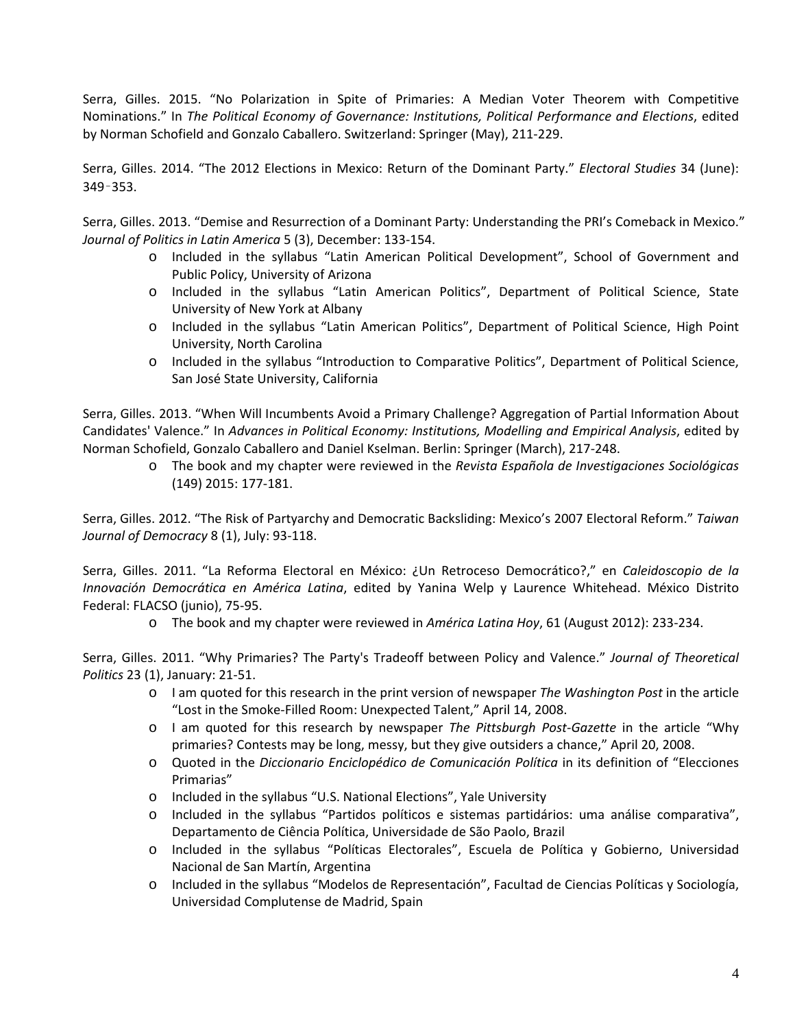Serra, Gilles. 2015. "No Polarization in Spite of Primaries: A Median Voter Theorem with Competitive Nominations." In *The Political Economy of Governance: Institutions, Political Performance and Elections*, edited by Norman Schofield and Gonzalo Caballero. Switzerland: Springer (May), 211-229.

Serra, Gilles. 2014. "The 2012 Elections in Mexico: Return of the Dominant Party." *Electoral Studies* 34 (June): 349–353.

Serra, Gilles. 2013. "Demise and Resurrection of a Dominant Party: Understanding the PRI's Comeback in Mexico." *Journal of Politics in Latin America* 5 (3), December: 133-154.

- o Included in the syllabus "Latin American Political Development", School of Government and Public Policy, University of Arizona
- o Included in the syllabus "Latin American Politics", Department of Political Science, State University of New York at Albany
- o Included in the syllabus "Latin American Politics", Department of Political Science, High Point University, North Carolina
- o Included in the syllabus "Introduction to Comparative Politics", Department of Political Science, San José State University, California

Serra, Gilles. 2013. "When Will Incumbents Avoid a Primary Challenge? Aggregation of Partial Information About Candidates' Valence." In *Advances in Political Economy: Institutions, Modelling and Empirical Analysis*, edited by Norman Schofield, Gonzalo Caballero and Daniel Kselman. Berlin: Springer (March), 217-248.

o The book and my chapter were reviewed in the *Revista Española de Investigaciones Sociológicas* (149) 2015: 177-181.

Serra, Gilles. 2012. "The Risk of Partyarchy and Democratic Backsliding: Mexico's 2007 Electoral Reform." *Taiwan Journal of Democracy* 8 (1), July: 93-118.

Serra, Gilles. 2011. "La Reforma Electoral en México: ¿Un Retroceso Democrático?," en *Caleidoscopio de la Innovación Democrática en América Latina*, edited by Yanina Welp y Laurence Whitehead. México Distrito Federal: FLACSO (junio), 75-95.

o The book and my chapter were reviewed in *América Latina Hoy*, 61 (August 2012): 233-234.

Serra, Gilles. 2011. "Why Primaries? The Party's Tradeoff between Policy and Valence." *Journal of Theoretical Politics* 23 (1), January: 21-51.

- o I am quoted for this research in the print version of newspaper *The Washington Post* in the article "Lost in the Smoke-Filled Room: Unexpected Talent," April 14, 2008.
- o I am quoted for this research by newspaper *The Pittsburgh Post-Gazette* in the article "Why primaries? Contests may be long, messy, but they give outsiders a chance," April 20, 2008.
- o Quoted in the *Diccionario Enciclopédico de Comunicación Política* in its definition of "Elecciones Primarias"
- o Included in the syllabus "U.S. National Elections", Yale University
- o Included in the syllabus "Partidos políticos e sistemas partidários: uma análise comparativa", Departamento de Ciência Política, Universidade de São Paolo, Brazil
- o Included in the syllabus "Políticas Electorales", Escuela de Política y Gobierno, Universidad Nacional de San Martín, Argentina
- o Included in the syllabus "Modelos de Representación", Facultad de Ciencias Políticas y Sociología, Universidad Complutense de Madrid, Spain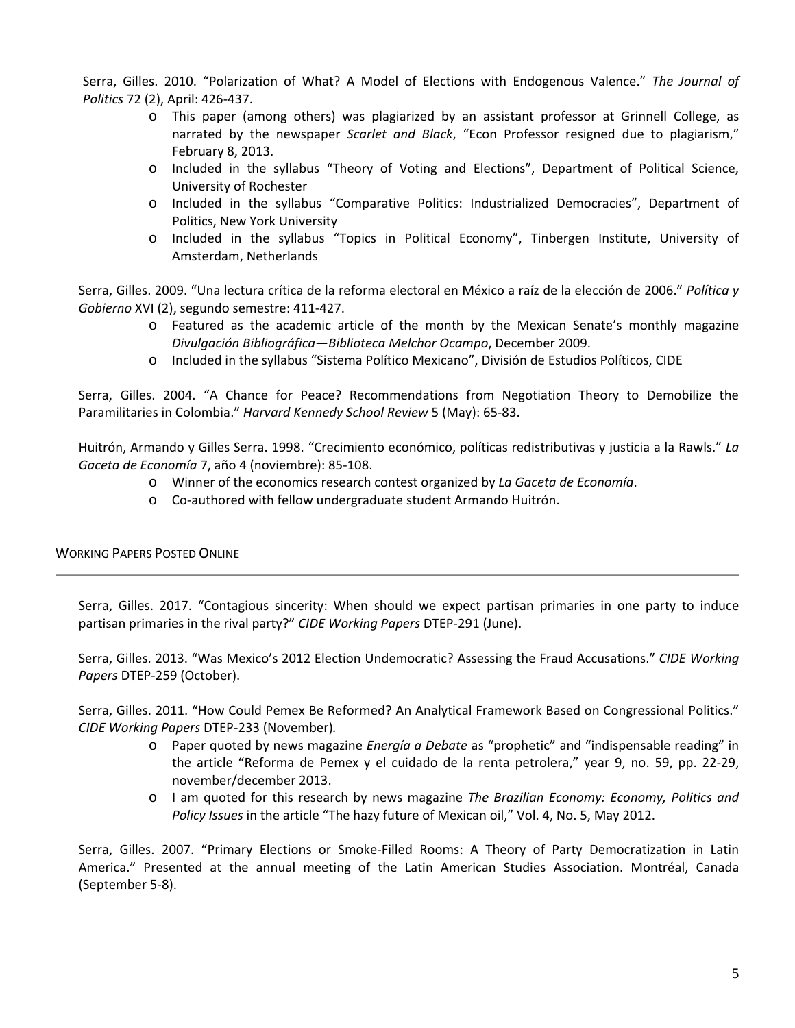Serra, Gilles. 2010. "Polarization of What? A Model of Elections with Endogenous Valence." *The Journal of Politics* 72 (2), April: 426-437.

- o This paper (among others) was plagiarized by an assistant professor at Grinnell College, as narrated by the newspaper *Scarlet and Black*, "Econ Professor resigned due to plagiarism," February 8, 2013.
- o Included in the syllabus "Theory of Voting and Elections", Department of Political Science, University of Rochester
- o Included in the syllabus "Comparative Politics: Industrialized Democracies", Department of Politics, New York University
- o Included in the syllabus "Topics in Political Economy", Tinbergen Institute, University of Amsterdam, Netherlands

Serra, Gilles. 2009. "Una lectura crítica de la reforma electoral en México a raíz de la elección de 2006." *Política y Gobierno* XVI (2), segundo semestre: 411-427.

- o Featured as the academic article of the month by the Mexican Senate's monthly magazine *Divulgación Bibliográfica—Biblioteca Melchor Ocampo*, December 2009.
- o Included in the syllabus "Sistema Político Mexicano", División de Estudios Políticos, CIDE

Serra, Gilles. 2004. "A Chance for Peace? Recommendations from Negotiation Theory to Demobilize the Paramilitaries in Colombia." *Harvard Kennedy School Review* 5 (May): 65-83.

Huitrón, Armando y Gilles Serra. 1998. "Crecimiento económico, políticas redistributivas y justicia a la Rawls." *La Gaceta de Economía* 7, año 4 (noviembre): 85-108.

- o Winner of the economics research contest organized by *La Gaceta de Economía*.
- o Co-authored with fellow undergraduate student Armando Huitrón.

# WORKING PAPERS POSTED ONLINE

Serra, Gilles. 2017. "Contagious sincerity: When should we expect partisan primaries in one party to induce partisan primaries in the rival party?" *CIDE Working Papers* DTEP-291 (June).

Serra, Gilles. 2013. "Was Mexico's 2012 Election Undemocratic? Assessing the Fraud Accusations." *CIDE Working Papers* DTEP-259 (October).

Serra, Gilles. 2011. "How Could Pemex Be Reformed? An Analytical Framework Based on Congressional Politics." *CIDE Working Papers* DTEP-233 (November)*.*

- o Paper quoted by news magazine *Energía a Debate* as "prophetic" and "indispensable reading" in the article "Reforma de Pemex y el cuidado de la renta petrolera," year 9, no. 59, pp. 22-29, november/december 2013.
- o I am quoted for this research by news magazine *The Brazilian Economy: Economy, Politics and Policy Issues* in the article "The hazy future of Mexican oil," Vol. 4, No. 5, May 2012.

Serra, Gilles. 2007. "Primary Elections or Smoke-Filled Rooms: A Theory of Party Democratization in Latin America." Presented at the annual meeting of the Latin American Studies Association. Montréal, Canada (September 5-8).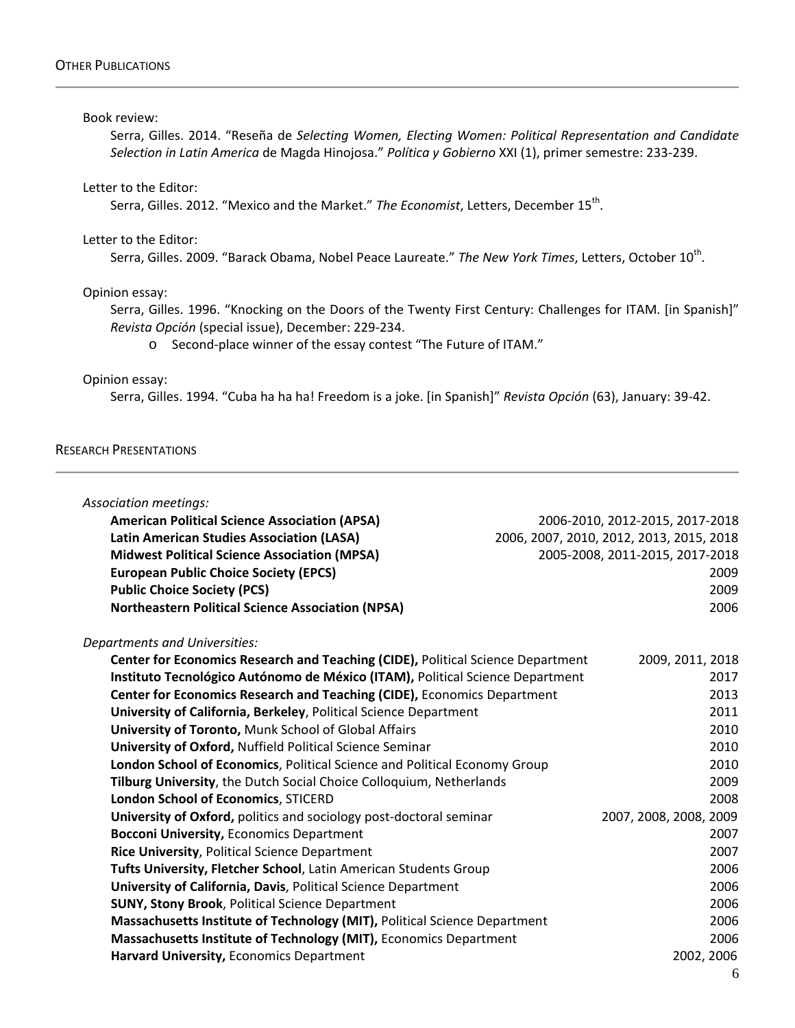#### Book review:

Serra, Gilles. 2014. "Reseña de *Selecting Women, Electing Women: Political Representation and Candidate Selection in Latin America* de Magda Hinojosa." *Política y Gobierno* XXI (1), primer semestre: 233-239.

# Letter to the Editor:

Serra, Gilles. 2012. "Mexico and the Market." The Economist, Letters, December 15<sup>th</sup>.

#### Letter to the Editor:

Serra, Gilles. 2009. "Barack Obama, Nobel Peace Laureate." The New York Times, Letters, October 10<sup>th</sup>.

#### Opinion essay:

Serra, Gilles. 1996. "Knocking on the Doors of the Twenty First Century: Challenges for ITAM. [in Spanish]" *Revista Opción* (special issue), December: 229-234.

o Second-place winner of the essay contest "The Future of ITAM."

### Opinion essay:

Serra, Gilles. 1994. "Cuba ha ha ha! Freedom is a joke. [in Spanish]" *Revista Opción* (63), January: 39-42.

#### RESEARCH PRESENTATIONS

| Association meetings:                                                                  |                                          |
|----------------------------------------------------------------------------------------|------------------------------------------|
| <b>American Political Science Association (APSA)</b>                                   | 2006-2010, 2012-2015, 2017-2018          |
| <b>Latin American Studies Association (LASA)</b>                                       | 2006, 2007, 2010, 2012, 2013, 2015, 2018 |
| <b>Midwest Political Science Association (MPSA)</b>                                    | 2005-2008, 2011-2015, 2017-2018          |
| <b>European Public Choice Society (EPCS)</b>                                           | 2009                                     |
| <b>Public Choice Society (PCS)</b>                                                     | 2009                                     |
| <b>Northeastern Political Science Association (NPSA)</b>                               | 2006                                     |
| Departments and Universities:                                                          |                                          |
| <b>Center for Economics Research and Teaching (CIDE), Political Science Department</b> | 2009, 2011, 2018                         |
| Instituto Tecnológico Autónomo de México (ITAM), Political Science Department          | 2017                                     |
| Center for Economics Research and Teaching (CIDE), Economics Department                | 2013                                     |
| University of California, Berkeley, Political Science Department                       | 2011                                     |
| <b>University of Toronto, Munk School of Global Affairs</b>                            | 2010                                     |
| University of Oxford, Nuffield Political Science Seminar                               | 2010                                     |
| London School of Economics, Political Science and Political Economy Group              | 2010                                     |
| Tilburg University, the Dutch Social Choice Colloquium, Netherlands                    | 2009                                     |
| London School of Economics, STICERD                                                    | 2008                                     |
| University of Oxford, politics and sociology post-doctoral seminar                     | 2007, 2008, 2008, 2009                   |
| <b>Bocconi University, Economics Department</b>                                        | 2007                                     |
| <b>Rice University, Political Science Department</b>                                   | 2007                                     |
| Tufts University, Fletcher School, Latin American Students Group                       | 2006                                     |
| University of California, Davis, Political Science Department                          | 2006                                     |
| <b>SUNY, Stony Brook, Political Science Department</b>                                 | 2006                                     |
| Massachusetts Institute of Technology (MIT), Political Science Department              | 2006                                     |
| Massachusetts Institute of Technology (MIT), Economics Department                      | 2006                                     |
| Harvard University, Economics Department                                               | 2002, 2006                               |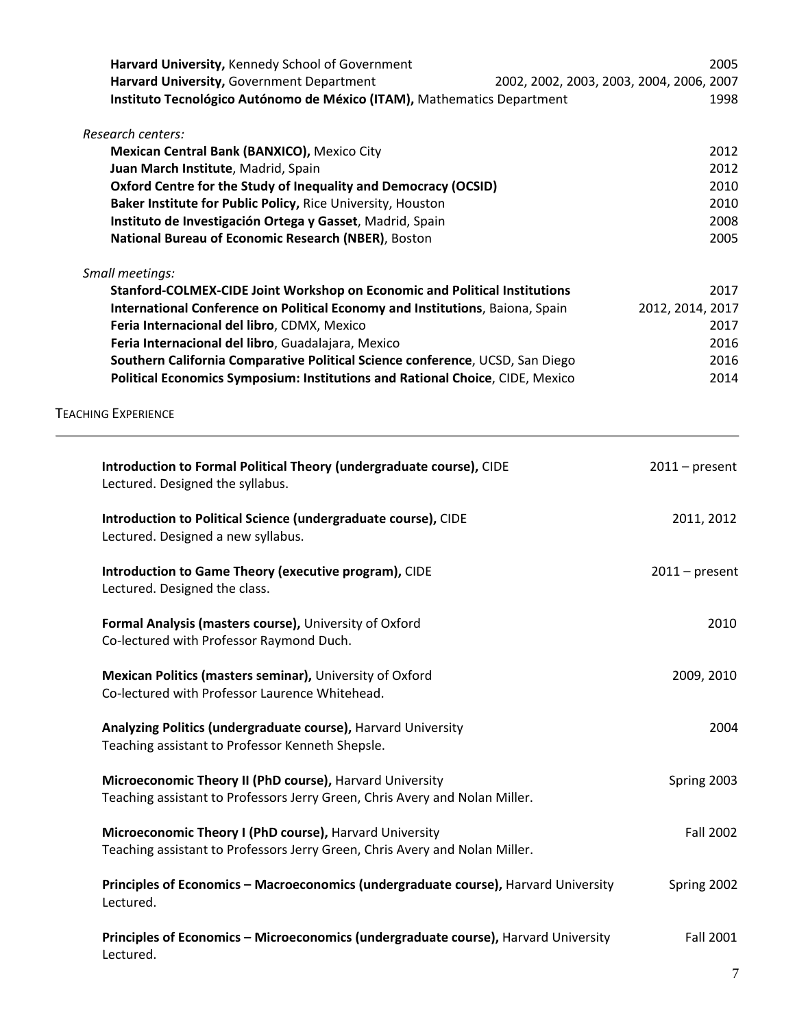| Harvard University, Kennedy School of Government                                    |                                          | 2005             |
|-------------------------------------------------------------------------------------|------------------------------------------|------------------|
| Harvard University, Government Department                                           | 2002, 2002, 2003, 2003, 2004, 2006, 2007 |                  |
| Instituto Tecnológico Autónomo de México (ITAM), Mathematics Department             |                                          | 1998             |
|                                                                                     |                                          |                  |
| Research centers:                                                                   |                                          |                  |
| Mexican Central Bank (BANXICO), Mexico City                                         |                                          | 2012             |
| Juan March Institute, Madrid, Spain                                                 |                                          | 2012             |
| Oxford Centre for the Study of Inequality and Democracy (OCSID)                     |                                          | 2010             |
| Baker Institute for Public Policy, Rice University, Houston                         |                                          | 2010             |
| Instituto de Investigación Ortega y Gasset, Madrid, Spain                           |                                          | 2008             |
| National Bureau of Economic Research (NBER), Boston                                 |                                          | 2005             |
|                                                                                     |                                          |                  |
| Small meetings:                                                                     |                                          |                  |
| Stanford-COLMEX-CIDE Joint Workshop on Economic and Political Institutions          |                                          | 2017             |
| International Conference on Political Economy and Institutions, Baiona, Spain       |                                          | 2012, 2014, 2017 |
| Feria Internacional del libro, CDMX, Mexico                                         |                                          | 2017             |
|                                                                                     |                                          |                  |
| Feria Internacional del libro, Guadalajara, Mexico                                  |                                          | 2016             |
| Southern California Comparative Political Science conference, UCSD, San Diego       |                                          | 2016             |
| Political Economics Symposium: Institutions and Rational Choice, CIDE, Mexico       |                                          | 2014             |
| <b>TEACHING EXPERIENCE</b>                                                          |                                          |                  |
|                                                                                     |                                          |                  |
| Introduction to Formal Political Theory (undergraduate course), CIDE                |                                          | $2011$ – present |
| Lectured. Designed the syllabus.                                                    |                                          |                  |
|                                                                                     |                                          |                  |
| Introduction to Political Science (undergraduate course), CIDE                      |                                          | 2011, 2012       |
| Lectured. Designed a new syllabus.                                                  |                                          |                  |
|                                                                                     |                                          |                  |
| Introduction to Game Theory (executive program), CIDE                               |                                          | $2011$ – present |
| Lectured. Designed the class.                                                       |                                          |                  |
|                                                                                     |                                          |                  |
| Formal Analysis (masters course), University of Oxford                              |                                          | 2010             |
| Co-lectured with Professor Raymond Duch.                                            |                                          |                  |
|                                                                                     |                                          |                  |
| Mexican Politics (masters seminar), University of Oxford                            |                                          | 2009, 2010       |
| Co-lectured with Professor Laurence Whitehead.                                      |                                          |                  |
|                                                                                     |                                          |                  |
| Analyzing Politics (undergraduate course), Harvard University                       |                                          | 2004             |
| Teaching assistant to Professor Kenneth Shepsle.                                    |                                          |                  |
|                                                                                     |                                          |                  |
| Microeconomic Theory II (PhD course), Harvard University                            |                                          | Spring 2003      |
| Teaching assistant to Professors Jerry Green, Chris Avery and Nolan Miller.         |                                          |                  |
|                                                                                     |                                          |                  |
| Microeconomic Theory I (PhD course), Harvard University                             |                                          | <b>Fall 2002</b> |
| Teaching assistant to Professors Jerry Green, Chris Avery and Nolan Miller.         |                                          |                  |
|                                                                                     |                                          |                  |
| Principles of Economics - Macroeconomics (undergraduate course), Harvard University |                                          | Spring 2002      |
| Lectured.                                                                           |                                          |                  |
|                                                                                     |                                          |                  |
| Principles of Economics - Microeconomics (undergraduate course), Harvard University |                                          | Fall 2001        |
| Lectured.                                                                           |                                          |                  |
|                                                                                     |                                          |                  |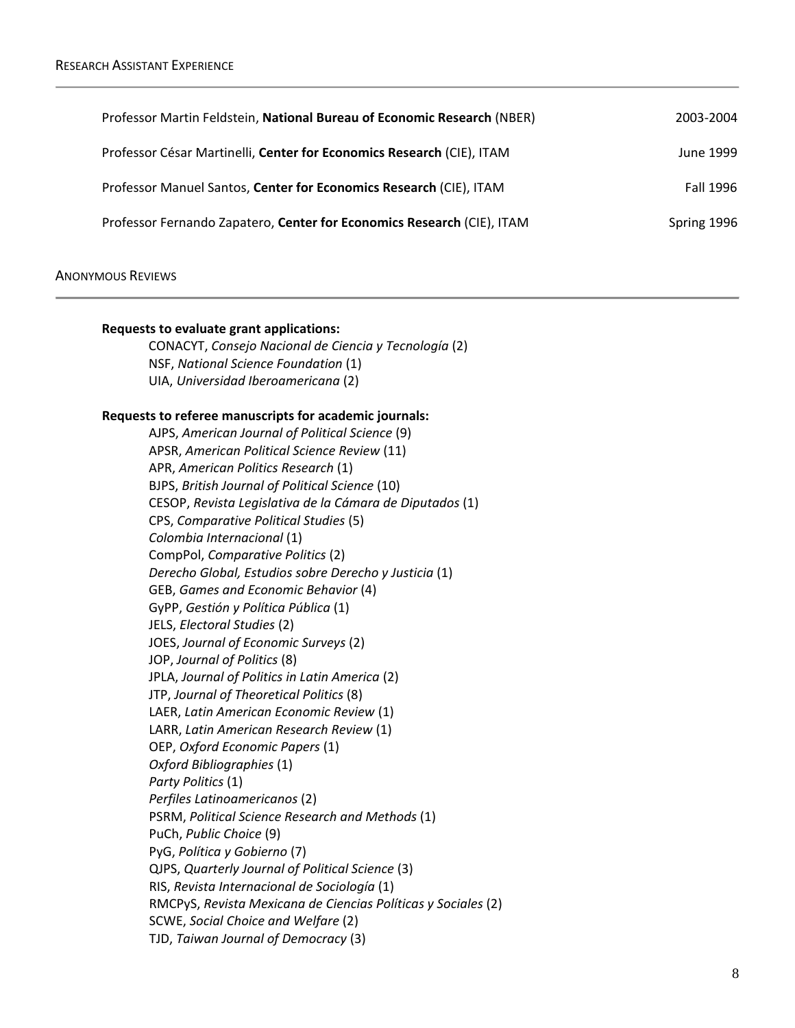| Professor Martin Feldstein, National Bureau of Economic Research (NBER) | 2003-2004        |
|-------------------------------------------------------------------------|------------------|
| Professor César Martinelli, Center for Economics Research (CIE), ITAM   | June 1999        |
| Professor Manuel Santos, Center for Economics Research (CIE), ITAM      | <b>Fall 1996</b> |
| Professor Fernando Zapatero, Center for Economics Research (CIE), ITAM  | Spring 1996      |

## ANONYMOUS REVIEWS

| Requests to evaluate grant applications:                                    |
|-----------------------------------------------------------------------------|
| CONACYT, Consejo Nacional de Ciencia y Tecnología (2)                       |
| NSF, National Science Foundation (1)<br>UIA, Universidad Iberoamericana (2) |
|                                                                             |
| Requests to referee manuscripts for academic journals:                      |
| AJPS, American Journal of Political Science (9)                             |
| APSR, American Political Science Review (11)                                |
| APR, American Politics Research (1)                                         |
| BJPS, British Journal of Political Science (10)                             |
| CESOP, Revista Legislativa de la Cámara de Diputados (1)                    |
| CPS, Comparative Political Studies (5)                                      |
| Colombia Internacional (1)                                                  |
| CompPol, Comparative Politics (2)                                           |
| Derecho Global, Estudios sobre Derecho y Justicia (1)                       |
| GEB, Games and Economic Behavior (4)                                        |
| GyPP, Gestión y Política Pública (1)                                        |
| JELS, Electoral Studies (2)                                                 |
| JOES, Journal of Economic Surveys (2)                                       |
| JOP, Journal of Politics (8)                                                |
| JPLA, Journal of Politics in Latin America (2)                              |
| JTP, Journal of Theoretical Politics (8)                                    |
| LAER, Latin American Economic Review (1)                                    |
| LARR, Latin American Research Review (1)                                    |
| OEP, Oxford Economic Papers (1)                                             |
| Oxford Bibliographies (1)                                                   |
| Party Politics (1)                                                          |
| Perfiles Latinoamericanos (2)                                               |
| PSRM, Political Science Research and Methods (1)                            |
| PuCh, Public Choice (9)                                                     |
| PyG, Política y Gobierno (7)                                                |
| QJPS, Quarterly Journal of Political Science (3)                            |
| RIS, Revista Internacional de Sociología (1)                                |
| RMCPyS, Revista Mexicana de Ciencias Políticas y Sociales (2)               |
| SCWE, Social Choice and Welfare (2)                                         |
| TJD, Taiwan Journal of Democracy (3)                                        |